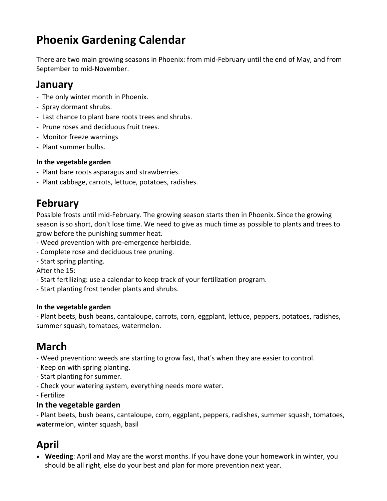# **Phoenix Gardening Calendar**

There are two main growing seasons in Phoenix: from mid-February until the end of May, and from September to mid-November.

### **January**

- The only winter month in Phoenix.
- Spray dormant shrubs.
- Last chance to plant bare roots trees and shrubs.
- Prune roses and deciduous fruit trees.
- Monitor freeze warnings
- Plant summer bulbs.

### **In the vegetable garden**

- Plant bare roots asparagus and strawberries.
- Plant cabbage, carrots, lettuce, potatoes, radishes.

# **February**

Possible frosts until mid-February. The growing season starts then in Phoenix. Since the growing season is so short, don't lose time. We need to give as much time as possible to plants and trees to grow before the punishing summer heat.

- Weed prevention with pre-emergence herbicide.
- Complete rose and deciduous tree pruning.
- Start spring planting.

After the 15:

- Start fertilizing: use a calendar to keep track of your fertilization program.
- Start planting frost tender plants and shrubs.

#### **In the vegetable garden**

- Plant beets, bush beans, cantaloupe, carrots, corn, eggplant, lettuce, peppers, potatoes, radishes, summer squash, tomatoes, watermelon.

# **March**

- Weed prevention: weeds are starting to grow fast, that's when they are easier to control.
- Keep on with spring planting.
- Start planting for summer.
- Check your watering system, everything needs more water.
- Fertilize

### **In the vegetable garden**

- Plant beets, bush beans, cantaloupe, corn, eggplant, peppers, radishes, summer squash, tomatoes, watermelon, winter squash, basil

## **April**

 **Weeding**: April and May are the worst months. If you have done your homework in winter, you should be all right, else do your best and plan for more prevention next year.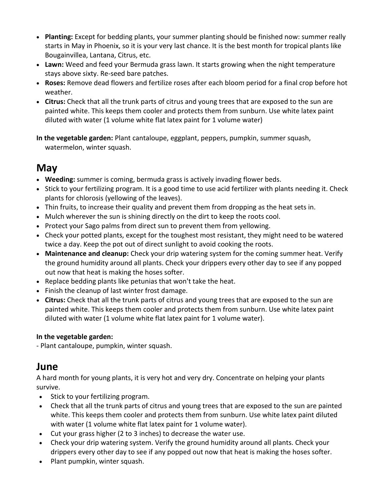- **Planting:** Except for bedding plants, your summer planting should be finished now: summer really starts in May in Phoenix, so it is your very last chance. It is the best month for tropical plants like Bougainvillea, Lantana, Citrus, etc.
- **Lawn:** Weed and feed your Bermuda grass lawn. It starts growing when the night temperature stays above sixty. Re-seed bare patches.
- **Roses:** Remove dead flowers and fertilize roses after each bloom period for a final crop before hot weather.
- **Citrus:** Check that all the trunk parts of citrus and young trees that are exposed to the sun are painted white. This keeps them cooler and protects them from sunburn. Use white latex paint diluted with water (1 volume white flat latex paint for 1 volume water)

**In the vegetable garden:** Plant cantaloupe, eggplant, peppers, pumpkin, summer squash, watermelon, winter squash.

## **May**

- **Weeding:** summer is coming, bermuda grass is actively invading flower beds.
- Stick to your fertilizing program. It is a good time to use acid fertilizer with plants needing it. Check plants for chlorosis (yellowing of the leaves).
- Thin fruits, to increase their quality and prevent them from dropping as the heat sets in.
- Mulch wherever the sun is shining directly on the dirt to keep the roots cool.
- Protect your Sago palms from direct sun to prevent them from yellowing.
- Check your potted plants, except for the toughest most resistant, they might need to be watered twice a day. Keep the pot out of direct sunlight to avoid cooking the roots.
- **Maintenance and cleanup:** Check your drip watering system for the coming summer heat. Verify the ground humidity around all plants. Check your drippers every other day to see if any popped out now that heat is making the hoses softer.
- Replace bedding plants like petunias that won't take the heat.
- Finish the cleanup of last winter frost damage.
- **Citrus:** Check that all the trunk parts of citrus and young trees that are exposed to the sun are painted white. This keeps them cooler and protects them from sunburn. Use white latex paint diluted with water (1 volume white flat latex paint for 1 volume water).

### **In the vegetable garden:**

- Plant cantaloupe, pumpkin, winter squash.

## **June**

A hard month for young plants, it is very hot and very dry. Concentrate on helping your plants survive.

- Stick to your fertilizing program.
- Check that all the trunk parts of citrus and young trees that are exposed to the sun are painted white. This keeps them cooler and protects them from sunburn. Use white latex paint diluted with water (1 volume white flat latex paint for 1 volume water).
- Cut your grass higher (2 to 3 inches) to decrease the water use.
- Check your drip watering system. Verify the ground humidity around all plants. Check your drippers every other day to see if any popped out now that heat is making the hoses softer.
- Plant pumpkin, winter squash.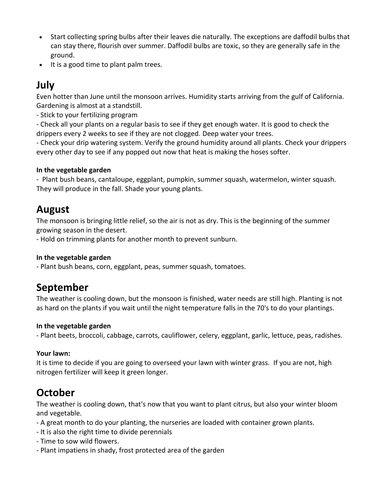- Start collecting spring bulbs after their leaves die naturally. The exceptions are daffodil bulbs that can stay there, flourish over summer. Daffodil bulbs are toxic, so they are generally safe in the ground.
- It is a good time to plant palm trees.

# **July**

Even hotter than June until the monsoon arrives. Humidity starts arriving from the gulf of California. Gardening is almost at a standstill.

- Stick to your fertilizing program

- Check all your plants on a regular basis to see if they get enough water. It is good to check the drippers every 2 weeks to see if they are not clogged. Deep water your trees.

- Check your drip watering system. Verify the ground humidity around all plants. Check your drippers every other day to see if any popped out now that heat is making the hoses softer.

### **In the vegetable garden**

- Plant bush beans, cantaloupe, eggplant, pumpkin, summer squash, watermelon, winter squash. They will produce in the fall. Shade your young plants.

## **August**

The monsoon is bringing little relief, so the air is not as dry. This is the beginning of the summer growing season in the desert.

- Hold on trimming plants for another month to prevent sunburn.

### **In the vegetable garden**

- Plant bush beans, corn, eggplant, peas, summer squash, tomatoes.

### **September**

The weather is cooling down, but the monsoon is finished, water needs are still high. Planting is not as hard on the plants if you wait until the night temperature falls in the 70's to do your plantings.

#### **In the vegetable garden**

- Plant beets, broccoli, cabbage, carrots, cauliflower, celery, eggplant, garlic, lettuce, peas, radishes.

### **Your lawn:**

It is time to decide if you are going to overseed your lawn with winter grass. If you are not, high nitrogen fertilizer will keep it green longer.

## **October**

The weather is cooling down, that's now that you want to plant citrus, but also your winter bloom and vegetable.

- A great month to do your planting, the nurseries are loaded with container grown plants.
- It is also the right time to divide perennials
- Time to sow wild flowers.
- Plant impatiens in shady, frost protected area of the garden